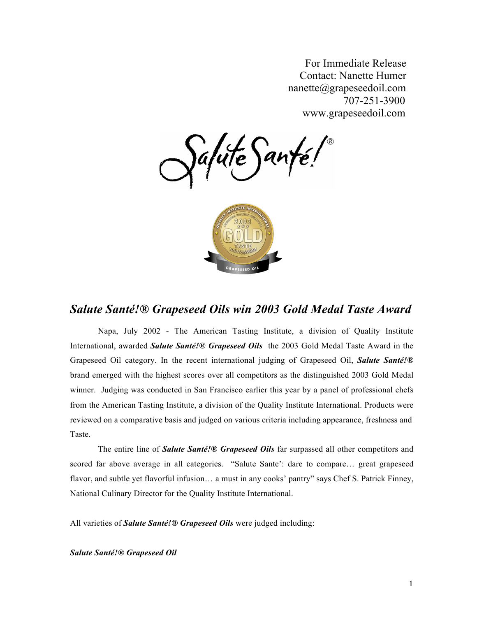For Immediate Release Contact: Nanette Humer nanette@grapeseedoil.com 707-251-3900 www.grapeseedoil.com

lute Sant



## *Salute Santé!® Grapeseed Oils win 2003 Gold Medal Taste Award*

Napa, July 2002 - The American Tasting Institute, a division of Quality Institute International, awarded *Salute Santé!® Grapeseed Oils* the 2003 Gold Medal Taste Award in the Grapeseed Oil category. In the recent international judging of Grapeseed Oil, *Salute Santé!®*  brand emerged with the highest scores over all competitors as the distinguished 2003 Gold Medal winner. Judging was conducted in San Francisco earlier this year by a panel of professional chefs from the American Tasting Institute, a division of the Quality Institute International. Products were reviewed on a comparative basis and judged on various criteria including appearance, freshness and Taste.

The entire line of *Salute Santé!® Grapeseed Oils* far surpassed all other competitors and scored far above average in all categories. "Salute Sante': dare to compare… great grapeseed flavor, and subtle yet flavorful infusion... a must in any cooks' pantry" says Chef S. Patrick Finney, National Culinary Director for the Quality Institute International.

All varieties of *Salute Santé!® Grapeseed Oils* were judged including:

*Salute Santé!® Grapeseed Oil*